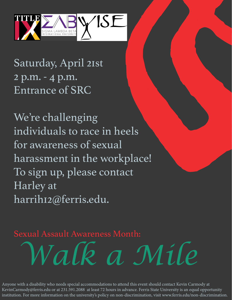

Saturday, April 21st 2 p.m. - 4 p.m. Entrance of SRC

We're challenging individuals to race in heels for awareness of sexual harassment in the workplace! To sign up, please contact Harley at harrih12@ferris.edu.

*Walk a Mile* Sexual Assault Awareness Month:

Anyone with a disability who needs special accommodations to attend this event should contact Kevin Carmody at KevinCarmody@ferris.edu or at 231.591.2088 at least 72 hours in advance. Ferris State University is an equal opportunity institution. For more information on the university's policy on non-discrimination, visit www.ferris.edu/non-discrimination.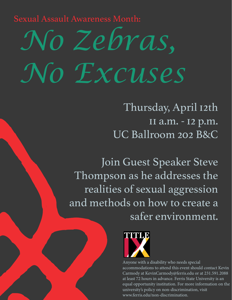Sexual Assault Awareness Month:

## *No Zebras, No Excuses*

Thursday, April 12th 11 a.m. - 12 p.m. UC Ballroom 202 B&C

Join Guest Speaker Steve Thompson as he addresses the realities of sexual aggression and methods on how to create a safer environment.



Anyone with a disability who needs special accommodations to attend this event should contact Kevin Carmody at KevinCarmody@ferris.edu or at 231.591.2088 at least 72 hours in advance. Ferris State University is an equal opportunity institution. For more information on the university's policy on non-discrimination, visit www.ferris.edu/non-discrimination.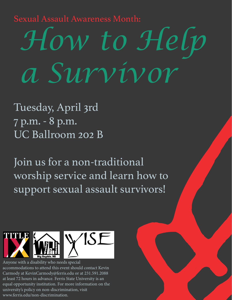Sexual Assault Awareness Month:

## *How to Help a Survivor*

Tuesday, April 3rd 7 p.m. - 8 p.m. UC Ballroom 202 B

Join us for a non-traditional worship service and learn how to support sexual assault survivors!



Anyone with a disability who needs special accommodations to attend this event should contact Kevin Carmody at KevinCarmody@ferris.edu or at 231.591.2088 at least 72 hours in advance. Ferris State University is an equal opportunity institution. For more information on the university's policy on non-discrimination, visit www.ferris.edu/non-discrimination.